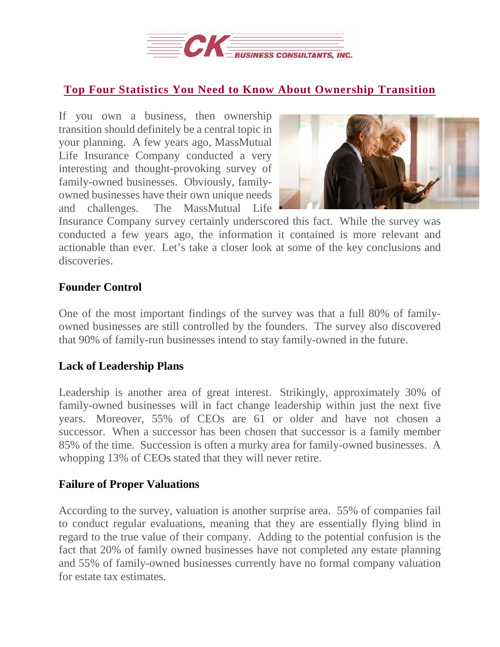

# **Top Four Statistics You Need to Know About [Ownership](https://deal-studio.com/top-four-statistics-need-know-ownership-transition/) Transition**

If you own a business, then ownership transition should definitely be a central topic in your planning. A few years ago, MassMutual Life Insurance Company conducted a very interesting and thought-provoking survey of family-owned businesses. Obviously, familyowned businesses have their own unique needs and challenges. The MassMutual Life



Insurance Company survey certainly underscored this fact. While the survey was conducted a few years ago, the information it contained is more relevant and actionable than ever. Let's take a closer look at some of the key conclusions and discoveries.

## **Founder Control**

One of the most important findings of the survey was that a full 80% of familyowned businesses are still controlled by the founders. The survey also discovered that 90% of family-run businesses intend to stay family-owned in the future.

## **Lack of Leadership Plans**

Leadership is another area of great interest. Strikingly, approximately 30% of family-owned businesses will in fact change leadership within just the next five years. Moreover, 55% of CEOs are 61 or older and have not chosen a successor. When a successor has been chosen that successor is a family member 85% of the time. Succession is often a murky area for family-owned businesses. A whopping 13% of CEOs stated that they will never retire.

## **Failure of Proper Valuations**

According to the survey, valuation is another surprise area. 55% of companies fail to conduct regular evaluations, meaning that they are essentially flying blind in regard to the true value of their company. Adding to the potential confusion is the fact that 20% of family owned businesses have not completed any estate planning and 55% of family-owned businesses currently have no formal company valuation for estate tax estimates.